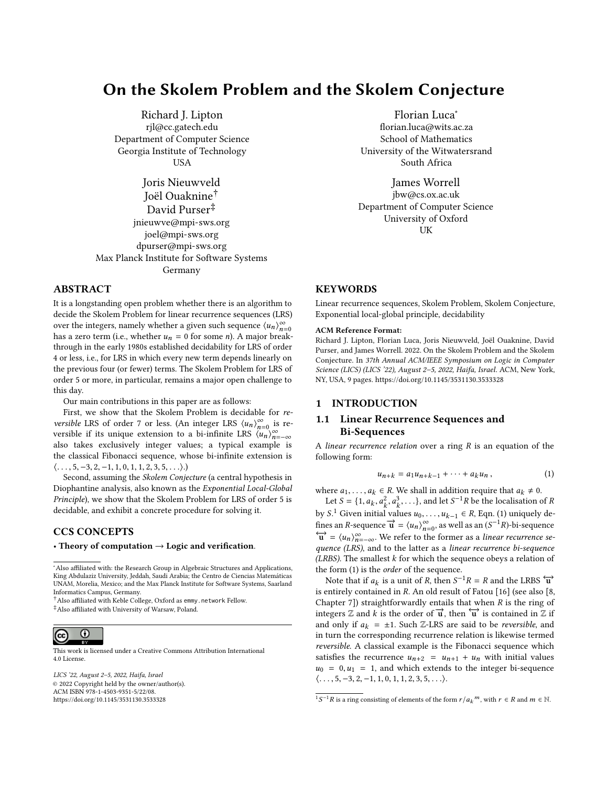# On the Skolem Problem and the Skolem Conjecture

Richard J. Lipton rjl@cc.gatech.edu Department of Computer Science Georgia Institute of Technology USA

Joris Nieuwveld Joël Ouaknine† [David Purser](https://orcid.org/0000-0003-0394-1634)‡ jnieuwve@mpi-sws.org joel@mpi-sws.org dpurser@mpi-sws.org Max Planck Institute for Software Systems Germany

## ABSTRACT

It is a longstanding open problem whether there is an algorithm to decide the Skolem Problem for linear recurrence sequences (LRS) over the integers, namely whether a given such sequence  $\langle u_n \rangle_{n=0}^{\infty}$ over the integers, namely whether a given such sequence  $(u_n)_{n=0}^{\infty}$ <br>has a zero term (i.e., whether  $u_n = 0$  for some n). A major break-<br>through in the early 1980s established decidability for LBS of order through in the early 1980s established decidability for LRS of order 4 or less, i.e., for LRS in which every new term depends linearly on the previous four (or fewer) terms. The Skolem Problem for LRS of order 5 or more, in particular, remains a major open challenge to this day.

Our main contributions in this paper are as follows:

First, we show that the Skolem Problem is decidable for re*versible* LRS of order 7 or less. (An integer LRS  $\langle u_n \rangle_{n=0}^{\infty}$  is re-<br>versible if its unique extension to a bi-infinite LRS  $\langle u_n \rangle_{\infty}^{\infty}$ versible if its unique extension to a bi-infinite LRS  $\langle u_n \rangle_{n=-\infty}^{\infty}$ <br>also takes exclusively integer values: a typical example is also takes exclusively integer values; a typical example is the classical Fibonacci sequence, whose bi-infinite extension is  $\langle \ldots, 5, -3, 2, -1, 1, 0, 1, 1, 2, 3, 5, \ldots \rangle$ .

Second, assuming the Skolem Conjecture (a central hypothesis in Diophantine analysis, also known as the Exponential Local-Global Principle), we show that the Skolem Problem for LRS of order 5 is decidable, and exhibit a concrete procedure for solving it.

## CCS CONCEPTS

• Theory of computation  $\rightarrow$  Logic and verification.

<sup>∗</sup>Also affiliated with: the Research Group in Algebraic Structures and Applications, King Abdulaziz University, Jeddah, Saudi Arabia; the Centro de Ciencias Matemáticas UNAM, Morelia, Mexico; and the Max Planck Institute for Software Systems, Saarland Informatics Campus, Germany.

 $\overline{\rm o}$  $(cc)$ 

This work is licensed under a [Creative Commons Attribution International](https://creativecommons.org/licenses/by/4.0/) [4.0 License.](https://creativecommons.org/licenses/by/4.0/)

LICS '22, August 2–5, 2022, Haifa, Israel © 2022 Copyright held by the owner/author(s). ACM ISBN 978-1-4503-9351-5/22/08. <https://doi.org/10.1145/3531130.3533328>

Florian Luca<sup>∗</sup> florian.luca@wits.ac.za School of Mathematics University of the Witwatersrand South Africa

James Worrell jbw@cs.ox.ac.uk Department of Computer Science University of Oxford UK

## **KEYWORDS**

Linear recurrence sequences, Skolem Problem, Skolem Conjecture, Exponential local-global principle, decidability

#### ACM Reference Format:

Richard J. Lipton, Florian Luca, Joris Nieuwveld, Joël Ouaknine, David Purser, and James Worrell. 2022. On the Skolem Problem and the Skolem Conjecture. In 37th Annual ACM/IEEE Symposium on Logic in Computer Science (LICS) (LICS '22), August 2–5, 2022, Haifa, Israel. ACM, New York, NY, USA, [9](#page-8-0) pages.<https://doi.org/10.1145/3531130.3533328>

## 1 INTRODUCTION

## <span id="page-0-2"></span>1.1 Linear Recurrence Sequences and Bi-Sequences

A linear recurrence relation over a ring  $R$  is an equation of the following form:

<span id="page-0-1"></span>
$$
u_{n+k} = a_1 u_{n+k-1} + \dots + a_k u_n, \qquad (1)
$$

where  $a_1, \ldots, a_k \in R$ . We shall in addition require that  $a_k \neq 0$ .

Let  $S = \{1, a_k, a_k^2, a_k^3, \ldots\}$ , and let  $S^{-1}R$  be the localisation of  $R$ <br> $S$  let  $S$  be the localisation of  $R$ by  $S^1$  $S^1$  Given initial values  $u_0, \ldots, u_{k-1} \in R$ , Eqn. [\(1\)](#page-0-1) uniquely defines an *P*-sequence  $\vec{v} = (u_0)^{\infty}$  as well as an  $(S^{-1}R)$ -bi-sequence fines an R-sequence  $\vec{u} = \langle u_n \rangle_{n=0}^{\infty}$ , as well as an  $(S^{-1}R)$ -bi-sequence<br> $\vec{v} = \langle u_n \rangle_{\infty}^{\infty}$  We refer to the former as a linear recurrence se- $\overleftrightarrow{u} = \langle u_n \rangle_{n=-\infty}^{\infty}$ . We refer to the former as a *linear recurrence se-*<br>*quence (LRS)* and to the latter as a *linear recurrence bi-sequence* quence (LRS), and to the latter as a linear recurrence bi-sequence (LRBS). The smallest  $k$  for which the sequence obeys a relation of the form [\(1\)](#page-0-1) is the order of the sequence.

Note that if  $a_k$  is a unit of R, then  $S^{-1}R = R$  and the LRBS  $\overleftrightarrow{u}$ <br>entirely contained in R. An old result of Eatou [16] (see also [8] is entirely contained in R. An old result of Fatou [\[16\]](#page-8-1) (see also [\[8,](#page-8-2) Chapter 7]) straightforwardly entails that when  $R$  is the ring of integers  $\mathbb Z$  and k is the order of  $\vec{u}$ , then  $\vec{u}$  is contained in  $\mathbb Z$  if and only if  $a_k = \pm 1$ . Such Z-LRS are said to be *reversible*, and in turn the corresponding recurrence relation is likewise termed reversible. A classical example is the Fibonacci sequence which satisfies the recurrence  $u_{n+2} = u_{n+1} + u_n$  with initial values  $u_0 = 0, u_1 = 1$ , and which extends to the integer bi-sequence  $\langle \ldots, 5, -3, 2, -1, 1, 0, 1, 1, 2, 3, 5, \ldots \rangle$ .

<sup>†</sup>Also affiliated with Keble College, Oxford as [emmy.network](https://emmy.network/) Fellow.

<sup>‡</sup>Also affiliated with University of Warsaw, Poland.

<span id="page-0-0"></span><sup>1</sup> $\neg^{-1}R$  is a ring consisting of elements of the form  $r/a_k^m$ , with  $r \in R$  and  $m \in \mathbb{N}$ .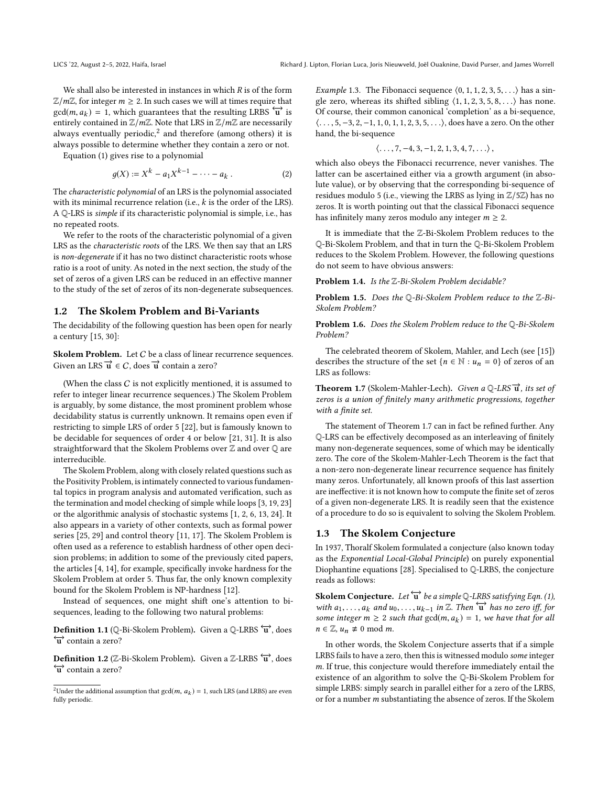We shall also be interested in instances in which  $R$  is of the form  $\mathbb{Z}/m\mathbb{Z}$ , for integer  $m \geq 2$ . In such cases we will at times require that  $g_{\text{Gd}}(m, a_k) = 1$ , which guarantees that the resulting LRBS  $\overleftrightarrow{u}$  is<br>entirely contained in  $\mathbb{Z}/m\mathbb{Z}$ . Note that LBS in  $\mathbb{Z}/m\mathbb{Z}$  are necessarily entirely contained in  $\mathbb{Z}/m\mathbb{Z}$ . Note that LRS in  $\mathbb{Z}/m\mathbb{Z}$  are necessarily always eventually periodic.<sup>[2](#page-1-0)</sup> and therefore (among others) it is always possible to determine whether they contain a zero or not.

Equation [\(1\)](#page-0-1) gives rise to a polynomial

$$
g(X) := X^k - a_1 X^{k-1} - \dots - a_k.
$$
 (2)

The characteristic polynomial of an LRS is the polynomial associated with its minimal recurrence relation (i.e.,  $k$  is the order of the LRS). A Q-LRS is simple if its characteristic polynomial is simple, i.e., has no repeated roots.

We refer to the roots of the characteristic polynomial of a given LRS as the characteristic roots of the LRS. We then say that an LRS is non-degenerate if it has no two distinct characteristic roots whose ratio is a root of unity. As noted in the next section, the study of the set of zeros of a given LRS can be reduced in an effective manner to the study of the set of zeros of its non-degenerate subsequences.

## 1.2 The Skolem Problem and Bi-Variants

The decidability of the following question has been open for nearly a century [\[15,](#page-8-3) [30\]](#page-8-4):

**Skolem Problem.** Let  $C$  be a class of linear recurrence sequences. Given an LRS  $\vec{u} \in C$ , does  $\vec{u}$  contain a zero?

(When the class  $C$  is not explicitly mentioned, it is assumed to refer to integer linear recurrence sequences.) The Skolem Problem is arguably, by some distance, the most prominent problem whose decidability status is currently unknown. It remains open even if restricting to simple LRS of order 5 [\[22\]](#page-8-5), but is famously known to be decidable for sequences of order 4 or below [\[21,](#page-8-6) [31\]](#page-8-7). It is also straightforward that the Skolem Problems over Z and over Q are interreducible.

The Skolem Problem, along with closely related questions such as the Positivity Problem, is intimately connected to various fundamental topics in program analysis and automated verification, such as the termination and model checking of simple while loops [\[3,](#page-8-8) [19,](#page-8-9) [23\]](#page-8-10) or the algorithmic analysis of stochastic systems [\[1,](#page-8-11) [2,](#page-8-12) [6,](#page-8-13) [13,](#page-8-14) [24\]](#page-8-15). It also appears in a variety of other contexts, such as formal power series [\[25,](#page-8-16) [29\]](#page-8-17) and control theory [\[11,](#page-8-18) [17\]](#page-8-19). The Skolem Problem is often used as a reference to establish hardness of other open decision problems; in addition to some of the previously cited papers, the articles [\[4,](#page-8-20) [14\]](#page-8-21), for example, specifically invoke hardness for the Skolem Problem at order 5. Thus far, the only known complexity bound for the Skolem Problem is NP-hardness [\[12\]](#page-8-22).

Instead of sequences, one might shift one's attention to bisequences, leading to the following two natural problems:

**Definition 1.1** (Q-Bi-Skolem Problem). Given a Q-LRBS  $\overleftrightarrow{u}$ , does  $\overleftrightarrow{u}$  contain a zero?

**Definition 1.2** (Z-Bi-Skolem Problem). Given a Z-LRBS  $\overleftrightarrow{u}$ , does  $\overleftrightarrow{u}$  contain a zero?

*Example* 1.3. The Fibonacci sequence  $(0, 1, 1, 2, 3, 5, \ldots)$  has a single zero, whereas its shifted sibling  $(1, 1, 2, 3, 5, 8, ...)$  has none. Of course, their common canonical 'completion' as a bi-sequence, ⟨. . . , <sup>5</sup>, <sup>−</sup>3, <sup>2</sup>, <sup>−</sup>1, <sup>1</sup>, <sup>0</sup>, <sup>1</sup>, <sup>1</sup>, <sup>2</sup>, <sup>3</sup>, <sup>5</sup>, . . .⟩, does have a zero. On the other hand, the bi-sequence

$$
\langle \ldots, 7, -4, 3, -1, 2, 1, 3, 4, 7, \ldots \rangle
$$

 $\langle \ldots, 7, -4, 3, -1, 2, 1, 3, 4, 7, \ldots \rangle$ ,<br>which also obeys the Fibonacci recurrence, never vanishes. The latter can be ascertained either via a growth argument (in absolute value), or by observing that the corresponding bi-sequence of residues modulo 5 (i.e., viewing the LRBS as lying in  $\mathbb{Z}/5\mathbb{Z}$ ) has no zeros. It is worth pointing out that the classical Fibonacci sequence has infinitely many zeros modulo any integer  $m \geq 2$ .

It is immediate that the Z-Bi-Skolem Problem reduces to the Q-Bi-Skolem Problem, and that in turn the Q-Bi-Skolem Problem reduces to the Skolem Problem. However, the following questions do not seem to have obvious answers:

Problem 1.4. Is the Z-Bi-Skolem Problem decidable?

Problem 1.5. Does the Q-Bi-Skolem Problem reduce to the Z-Bi-Skolem Problem?

Problem 1.6. Does the Skolem Problem reduce to the Q-Bi-Skolem Problem?

The celebrated theorem of Skolem, Mahler, and Lech (see [\[15\]](#page-8-3)) describes the structure of the set  $\{n \in \mathbb{N} : u_n = 0\}$  of zeros of an LRS as follows:

<span id="page-1-1"></span>**Theorem 1.7** (Skolem-Mahler-Lech). Given a  $Q$ -LRS  $\overrightarrow{u}$ , its set of zeros is a union of finitely many arithmetic progressions, together with a finite set.

The statement of Theorem [1.7](#page-1-1) can in fact be refined further. Any Q-LRS can be effectively decomposed as an interleaving of finitely many non-degenerate sequences, some of which may be identically zero. The core of the Skolem-Mahler-Lech Theorem is the fact that a non-zero non-degenerate linear recurrence sequence has finitely many zeros. Unfortunately, all known proofs of this last assertion are ineffective: it is not known how to compute the finite set of zeros of a given non-degenerate LRS. It is readily seen that the existence of a procedure to do so is equivalent to solving the Skolem Problem.

### 1.3 The Skolem Conjecture

In 1937, Thoralf Skolem formulated a conjecture (also known today as the Exponential Local-Global Principle) on purely exponential Diophantine equations [\[28\]](#page-8-23). Specialised to Q-LRBS, the conjecture reads as follows:

**Skolem Conjecture.** Let  $\overleftrightarrow{u}$  be a simple Q-LRBS satisfying Eqn. [\(1\)](#page-0-1), with  $a_1, \ldots, a_k$  and  $u_0, \ldots, u_{k-1}$  in Z. Then  $\overrightarrow{u}$  has no zero iff, for some integer  $m > 2$  such that  $\gcd(m, a_1) = 1$  we have that for all some integer  $m \ge 2$  such that  $gcd(m, a_k) = 1$ , we have that for all  $n \in \mathbb{Z}$   $\downarrow \mu \neq 0$  mod  $m$  $n \in \mathbb{Z}$ ,  $u_n \neq 0 \mod m$ .

In other words, the Skolem Conjecture asserts that if a simple LRBS fails to have a zero, then this is witnessed modulo some integer m. If true, this conjecture would therefore immediately entail the existence of an algorithm to solve the Q-Bi-Skolem Problem for simple LRBS: simply search in parallel either for a zero of the LRBS, or for a number  $m$  substantiating the absence of zeros. If the Skolem

<span id="page-1-0"></span><sup>&</sup>lt;sup>2</sup>Under the additional assumption that  $gcd(m, a_k) = 1$ , such LRS (and LRBS) are even fully periodic.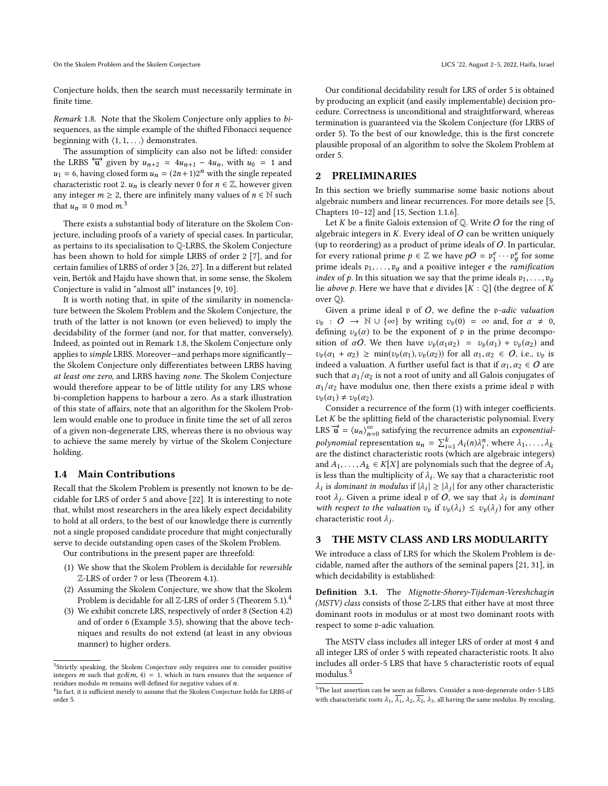Conjecture holds, then the search must necessarily terminate in finite time.

<span id="page-2-1"></span>Remark 1.8. Note that the Skolem Conjecture only applies to bisequences, as the simple example of the shifted Fibonacci sequence beginning with  $\langle 1, 1, \ldots \rangle$  demonstrates.

The assumption of simplicity can also not be lifted: consider the LRBS  $\overleftrightarrow{u}$  given by  $u_{n+2} = 4u_{n+1} - 4u_n$ , with  $u_0 = 1$  and  $u_1 = 6$ , having closed form  $u_n = (2n+1)2^n$  with the single repeated characteristic root 2,  $u_n$  is clearly never 0 for  $n \in \mathbb{Z}$  however given characteristic root 2.  $u_n$  is clearly never 0 for  $n \in \mathbb{Z}$ , however given any integer  $m \geq 2$ , there are infinitely many values of  $n \in \mathbb{N}$  such that  $u_n \equiv 0 \mod m$ <sup>[3](#page-2-0)</sup>

There exists a substantial body of literature on the Skolem Conjecture, including proofs of a variety of special cases. In particular, as pertains to its specialisation to Q-LRBS, the Skolem Conjecture has been shown to hold for simple LRBS of order 2 [\[7\]](#page-8-24), and for certain families of LRBS of order 3 [\[26,](#page-8-25) [27\]](#page-8-26). In a different but related vein, Bertók and Hajdu have shown that, in some sense, the Skolem Conjecture is valid in "almost all" instances [\[9,](#page-8-27) [10\]](#page-8-28).

It is worth noting that, in spite of the similarity in nomenclature between the Skolem Problem and the Skolem Conjecture, the truth of the latter is not known (or even believed) to imply the decidability of the former (and nor, for that matter, conversely). Indeed, as pointed out in Remark [1.8,](#page-2-1) the Skolem Conjecture only applies to simple LRBS. Moreover—and perhaps more significantly the Skolem Conjecture only differentiates between LRBS having at least one zero, and LRBS having none. The Skolem Conjecture would therefore appear to be of little utility for any LRS whose bi-completion happens to harbour a zero. As a stark illustration of this state of affairs, note that an algorithm for the Skolem Problem would enable one to produce in finite time the set of all zeros of a given non-degenerate LRS, whereas there is no obvious way to achieve the same merely by virtue of the Skolem Conjecture holding.

## 1.4 Main Contributions

Recall that the Skolem Problem is presently not known to be decidable for LRS of order 5 and above [\[22\]](#page-8-5). It is interesting to note that, whilst most researchers in the area likely expect decidability to hold at all orders, to the best of our knowledge there is currently not a single proposed candidate procedure that might conjecturally serve to decide outstanding open cases of the Skolem Problem.

Our contributions in the present paper are threefold:

- (1) We show that the Skolem Problem is decidable for reversible Z-LRS of order 7 or less (Theorem [4.1\)](#page-4-0).
- (2) Assuming the Skolem Conjecture, we show that the Skolem Problem is decidable for all Z-LRS of order 5 (Theorem [5.1\)](#page-6-0).<sup>[4](#page-2-2)</sup>
- (3) We exhibit concrete LRS, respectively of order 8 (Section [4.2\)](#page-5-0) and of order 6 (Example [3.5\)](#page-3-0), showing that the above techniques and results do not extend (at least in any obvious manner) to higher orders.

Our conditional decidability result for LRS of order 5 is obtained by producing an explicit (and easily implementable) decision procedure. Correctness is unconditional and straightforward, whereas termination is guaranteed via the Skolem Conjecture (for LRBS of order 5). To the best of our knowledge, this is the first concrete plausible proposal of an algorithm to solve the Skolem Problem at order 5.

#### 2 PRELIMINARIES

In this section we briefly summarise some basic notions about algebraic numbers and linear recurrences. For more details see [\[5,](#page-8-29) Chapters 10–12] and [\[15,](#page-8-3) Section 1.1.6].

Let  $K$  be a finite Galois extension of  $\mathbb Q$ . Write  $O$  for the ring of algebraic integers in  $K$ . Every ideal of  $O$  can be written uniquely (up to reordering) as a product of prime ideals of  $O$ . In particular, for every rational prime  $p \in \mathbb{Z}$  we have  $pO = p_1^e \cdots p_g^e$  for some prime ideals  $p_1$ , and a positive integer e the ramification prime ideals  $p_1, \ldots, p_g$  and a positive integer e the *ramification*<br>*index* of a In this situation we say that the prime ideals n. index of p. In this situation we say that the prime ideals  $p_1, \ldots, p_q$ lie *above p*. Here we have that e divides  $[K : \mathbb{Q}]$  (the degree of  $K$ over Q).

Given a prime ideal  $\mathfrak p$  of  $O$ , we define the  $\mathfrak p$ -adic valuation  $v_{\mathfrak{p}}$  :  $O \rightarrow \mathbb{N} \cup \{ \infty \}$  by writing  $v_{\mathfrak{p}}(0) = \infty$  and, for  $\alpha \neq 0$ , defining  $v_p(\alpha)$  to be the exponent of p in the prime decomposition of  $\alpha O$ . We then have  $v_p(\alpha_1\alpha_2) = v_p(\alpha_1) + v_p(\alpha_2)$  and  $v_p(\alpha_1 + \alpha_2) \ge \min(v_p(\alpha_1), v_p(\alpha_2))$  for all  $\alpha_1, \alpha_2 \in O$ , i.e.,  $v_p$  is indeed a valuation. A further useful fact is that if  $\alpha_1, \alpha_2 \in O$  are such that  $\alpha_1/\alpha_2$  is not a root of unity and all Galois conjugates of  $\alpha_1/\alpha_2$  have modulus one, then there exists a prime ideal p with  $v_{\rm p}(\alpha_1) \neq v_{\rm p}(\alpha_2)$ .

Consider a recurrence of the form [\(1\)](#page-0-1) with integer coefficients. Let  $K$  be the splitting field of the characteristic polynomial. Every LRS  $\vec{u} = \langle u_n \rangle_{n=0}^{\infty}$  satisfying the recurrence admits an exponential-<br>polynomial representation  $u_n = \nabla^k A_n(u) \lambda^n$ , where  $\lambda_n$ polynomial representation  $u_n = \sum_{i=1}^k A_i(n) \lambda_i^n$ , where  $\lambda_1, \ldots, \lambda_k$ <br>are the distinct characteristic roots (which are algebraic integers) *polynomial* representation  $u_n = \sum_{i=1}^n A_i(n) A_i^n$ , where  $A_1, \ldots, A_k$ <br>are the distinct characteristic roots (which are algebraic integers) and  $A_1, \ldots, A_k \in K[X]$  are polynomials such that the degree of  $A_i$ is less than the multiplicity of  $\lambda_i$ . We say that a characteristic root  $\lambda_i$  is dominant in modulus if  $|\lambda_i| > |\lambda_i|$  for any other characteristic root  $\lambda_j$ . Given a prime ideal p of O, we say that  $\lambda_i$  is *dominant* is dominant in modulus if  $|\lambda_i| \ge |\lambda_j|$  for any other characteristic<br>by  $\lambda_i$ . Given a prime ideal n of  $\Omega$ , we say that  $\lambda_i$  is dominant with respect to the valuation  $v_p$  if  $v_p(\lambda_i) \le v_p(\lambda_i)$  for any other characteristic root  $\lambda_j$ .

## <span id="page-2-4"></span>3 THE MSTV CLASS AND LRS MODULARITY

We introduce a class of LRS for which the Skolem Problem is decidable, named after the authors of the seminal papers [\[21,](#page-8-6) [31\]](#page-8-7), in which decidability is established:

Definition 3.1. The Mignotte-Shorey-Tijdeman-Vereshchagin (MSTV) class consists of those Z-LRS that either have at most three dominant roots in modulus or at most two dominant roots with respect to some p-adic valuation.

The MSTV class includes all integer LRS of order at most 4 and all integer LRS of order 5 with repeated characteristic roots. It also includes all order-5 LRS that have 5 characteristic roots of equal modulus.[5](#page-2-3)

<span id="page-2-0"></span><sup>&</sup>lt;sup>3</sup>Strictly speaking, the Skolem Conjecture only requires one to consider positive integers m such that  $gcd(m, 4) = 1$ , which in turn ensures that the sequence of residues modulo  $m$  remains well defined for negative values of  $n$ .

<span id="page-2-2"></span><sup>4</sup> In fact, it is sufficient merely to assume that the Skolem Conjecture holds for LRBS of order 5.

<span id="page-2-3"></span><sup>&</sup>lt;sup>5</sup>The last assertion can be seen as follows. Consider a non-degenerate order-5 LRS with characteristic roots  $\lambda_1$ ,  $\overline{\lambda_1}$ ,  $\lambda_2$ ,  $\overline{\lambda_2}$ ,  $\lambda_3$ , all having the same modulus. By rescaling,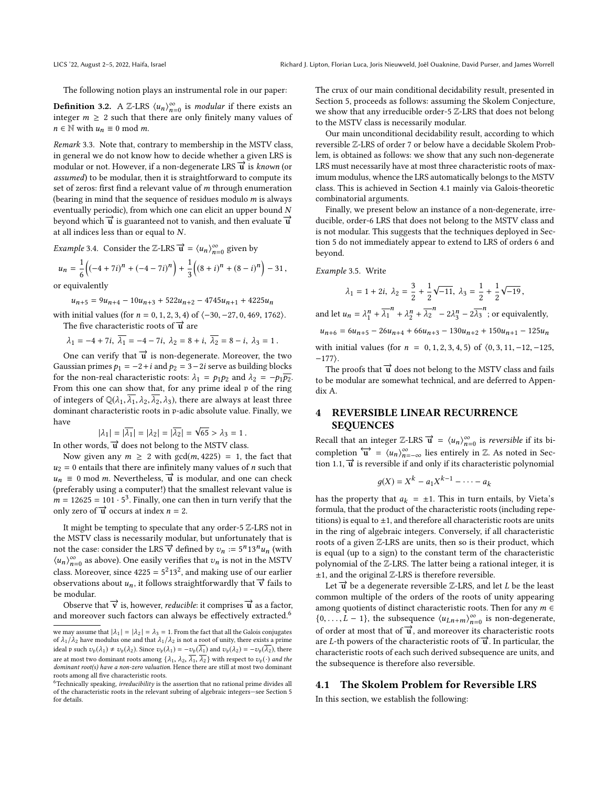The following notion plays an instrumental role in our paper:

**Definition 3.2.** A Z-LRS  $\langle u_n \rangle_{n=0}^{\infty}$  is *modular* if there exists an integer  $m > 2$  such that there are only finitely many values of integer  $m \geq 2$  such that there are only finitely many values of  $n \in \mathbb{N}$  with  $u_n \equiv 0 \mod m$ .

Remark 3.3. Note that, contrary to membership in the MSTV class, in general we do not know how to decide whether a given LRS is modular or not. However, if a non-degenerate LRS  $\vec{u}$  is known (or assumed) to be modular, then it is straightforward to compute its set of zeros: first find a relevant value of m through enumeration (bearing in mind that the sequence of residues modulo  $m$  is always eventually periodic), from which one can elicit an upper bound N beyond which  $\vec{u}$  is guaranteed not to vanish, and then evaluate  $\vec{u}$ at all indices less than or equal to N.

*Example* 3.4. Consider the Z-LRS  $\vec{u} = \langle u_n \rangle_{n=0}^{\infty}$  given by

$$
u_n = \frac{1}{6} \left( (-4 + 7i)^n + (-4 - 7i)^n \right) + \frac{1}{3} \left( (8 + i)^n + (8 - i)^n \right) - 31,
$$

or equivalently

 $u_{n+5} = 9u_{n+4} - 10u_{n+3} + 522u_{n+2} - 4745u_{n+1} + 4225u_n$ 

with initial values (for  $n = 0, 1, 2, 3, 4$ ) of  $\langle -30, -27, 0, 469, 1762 \rangle$ . The five characteristic roots of  $\vec{u}$  are

 $\lambda_1 = -4 + 7i$ ,  $\overline{\lambda_1} = -4 - 7i$ ,  $\lambda_2 = 8 + i$ ,  $\overline{\lambda_2} = 8 - i$ ,  $\lambda_3 = 1$ .

One can verify that  $\overrightarrow{u}$  is non-degenerate. Moreover, the two Gaussian primes  $p_1 = -2 + i$  and  $p_2 = 3 - 2i$  serve as building blocks for the non-real characteristic roots:  $\lambda_1 = p_1 p_2$  and  $\lambda_2 = -p_1 \overline{p_2}$ . From this one can show that, for any prime ideal p of the ring of integers of  $\mathbb{Q}(\lambda_1, \overline{\lambda_1}, \lambda_2, \overline{\lambda_2}, \lambda_3)$ , there are always at least three dominant characteristic roots in p-adic absolute value. Finally, we have √

$$
|\lambda_1| = |\overline{\lambda_1}| = |\lambda_2| = |\overline{\lambda_2}| = \sqrt{65} > \lambda_3 = 1.
$$
  
In other words,  $\vec{u}$  does not belong to the MSTV class.

Now given any  $m \geq 2$  with  $gcd(m, 4225) = 1$ , the fact that  $u_2 = 0$  entails that there are infinitely many values of *n* such that  $u_n \equiv 0 \mod m$ . Nevertheless,  $\vec{u}$  is modular, and one can check (preferably using a computer!) that the smallest relevant value is  $m = 12625 = 101 \cdot 5^3$ . Finally, one can then in turn verify that the only zero of  $\vec{u}$  occurs at index  $n = 2$ .

It might be tempting to speculate that any order-5 Z-LRS not in the MSTV class is necessarily modular, but unfortunately that is not the case: consider the LRS  $\vec{v}$  defined by  $v_n := 5^n 13^n u_n$  (with  $u_1 \searrow^{\infty}$  as above). One easily verifies that  $v_1$  is not in the MSTV  $\langle u_n \rangle_{n=0}^{\infty}$  as above). One easily verifies that  $v_n$  is not in the MSTV  $(u_n)_{n=0}^{\infty}$  as above). One easily verifies that  $v_n$  is not in the MSTV class. Moreover, since 4225 = 5<sup>2</sup>13<sup>2</sup>, and making use of our earlier observations about  $u_n$ , it follows straightforwardly that  $\vec{v}$  fails to be modular.

Observe that  $\vec{v}$  is, however, *reducible*: it comprises  $\vec{u}$  as a factor, and moreover such factors can always be effectively extracted.<sup>[6](#page-3-1)</sup>

The crux of our main conditional decidability result, presented in Section [5,](#page-6-1) proceeds as follows: assuming the Skolem Conjecture, we show that any irreducible order-5 Z-LRS that does not belong to the MSTV class is necessarily modular.

Our main unconditional decidability result, according to which reversible Z-LRS of order 7 or below have a decidable Skolem Problem, is obtained as follows: we show that any such non-degenerate LRS must necessarily have at most three characteristic roots of maximum modulus, whence the LRS automatically belongs to the MSTV class. This is achieved in Section [4.1](#page-3-2) mainly via Galois-theoretic combinatorial arguments.

Finally, we present below an instance of a non-degenerate, irreducible, order-6 LRS that does not belong to the MSTV class and is not modular. This suggests that the techniques deployed in Section [5](#page-6-1) do not immediately appear to extend to LRS of orders 6 and beyond.

<span id="page-3-0"></span>Example 3.5. Write

$$
\lambda_1 = 1 + 2i, \ \lambda_2 = \frac{3}{2} + \frac{1}{2}\sqrt{-11}, \ \lambda_3 = \frac{1}{2} + \frac{1}{2}\sqrt{-19},
$$
  
and let  $u_n = \lambda_1^n + \overline{\lambda_1}^n + \lambda_2^n + \overline{\lambda_2}^n - 2\lambda_3^n - 2\overline{\lambda_3}^n$ ; or equivalently,  
 $u_{n+6} = 6u_{n+5} - 26u_{n+4} + 66u_{n+3} - 130u_{n+2} + 150u_{n+1} - 125u_n$ 

with initial values (for  $n = 0, 1, 2, 3, 4, 5$ ) of  $(0, 3, 11, -12, -125,$  $-177$ ).

The proofs that  $\vec{u}$  does not belong to the MSTV class and fails to be modular are somewhat technical, and are deferred to Appendix [A.](#page-7-0)

## 4 REVERSIBLE LINEAR RECURRENCE SEQUENCES

Recall that an integer Z-LRS  $\vec{u} = \langle u_n \rangle_{n=0}^{\infty}$  is *reversible* if its bi-<br>completion  $\vec{u} = \langle u_n \rangle_{n=0}^{\infty}$  lies entirely in  $\mathbb{Z}$ . As noted in Seccompletion  $\overleftrightarrow{u} = \langle u_n \rangle_{n=-\infty}^{\infty}$  lies entirely in Z. As noted in Section 1.1  $\overrightarrow{u}$  is reversible if and only if its characteristic polynomial tion [1.1,](#page-0-2)  $\overrightarrow{u}$  is reversible if and only if its characteristic polynomial

$$
g(X) = X^k - a_1 X^{k-1} - \dots - a_k
$$

has the property that  $a_k = \pm 1$ . This in turn entails, by Vieta's formula, that the product of the characteristic roots (including repetitions) is equal to  $\pm 1$ , and therefore all characteristic roots are units in the ring of algebraic integers. Conversely, if all characteristic roots of a given Z-LRS are units, then so is their product, which is equal (up to a sign) to the constant term of the characteristic polynomial of the Z-LRS. The latter being a rational integer, it is  $\pm$ 1, and the original  $\mathbb{Z}$ -LRS is therefore reversible.

Let  $\overrightarrow{u}$  be a degenerate reversible Z-LRS, and let L be the least common multiple of the orders of the roots of unity appearing among quotients of distinct characteristic roots. Then for any  $m \in$ {0, ...,  $\vec{L} = 1$ }, the subsequence  $\langle u_{Ln+m} \rangle_{n=0}^{\infty}$  is non-degenerate, of order at most that of  $\vec{x}$  and moreover its characteristic roots of order at most that of  $\vec{u}$ , and moreover its characteristic roots are L-th powers of the characteristic roots of  $\vec{u}$ . In particular, the characteristic roots of each such derived subsequence are units, and the subsequence is therefore also reversible.

#### <span id="page-3-2"></span>4.1 The Skolem Problem for Reversible LRS

In this section, we establish the following:

we may assume that  $|\lambda_1| = |\lambda_2| = \lambda_3 = 1$ . From the fact that all the Galois conjugates of  $\lambda_1/\lambda_2$  have modulus one and that  $\lambda_1/\lambda_2$  is not a root of unity, there exists a prime ideal p such  $v_p(\lambda_1) \neq v_p(\lambda_2)$ . Since  $v_p(\lambda_1) = -v_p(\overline{\lambda_1})$  and  $v_p(\lambda_2) = -v_p(\overline{\lambda_2})$ , there are at most two dominant roots among  $\{\lambda_1, \lambda_2, \overline{\lambda_1}, \overline{\lambda_2}\}$  with respect to  $v_{\mathfrak{p}}(\cdot)$  and the dominant root(s) have a non-zero valuation. Hence there are still at most two dominant roots among all five characteristic roots.

<span id="page-3-1"></span><sup>&</sup>lt;sup>6</sup>Technically speaking, *irreducibility* is the assertion that no rational prime divides all of the characteristic roots in the relevant subring of algebraic integers—see Section [5](#page-6-1) for details.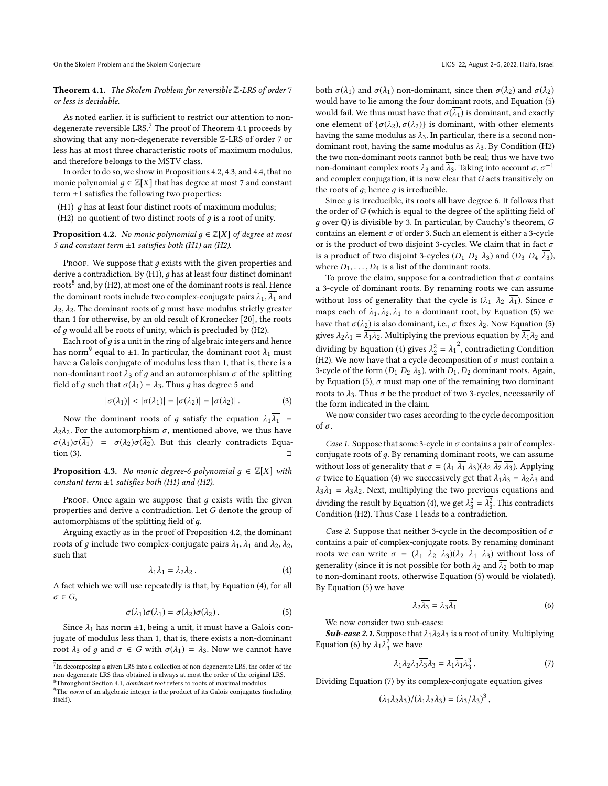<span id="page-4-0"></span>Theorem 4.1. The Skolem Problem for reversible Z-LRS of order 7 or less is decidable.

As noted earlier, it is sufficient to restrict our attention to non-degenerate reversible LRS.<sup>[7](#page-4-1)</sup> The proof of Theorem [4.1](#page-4-0) proceeds by showing that any non-degenerate reversible Z-LRS of order 7 or less has at most three characteristic roots of maximum modulus, and therefore belongs to the MSTV class.

In order to do so, we show in Propositions [4.2,](#page-4-2) [4.3,](#page-4-3) and [4.4,](#page-5-1) that no monic polynomial  $q \in \mathbb{Z}[X]$  that has degree at most 7 and constant term  $\pm 1$  satisfies the following two properties:

- (H1)  $q$  has at least four distinct roots of maximum modulus;
- (H2) no quotient of two distinct roots of  $q$  is a root of unity.

<span id="page-4-2"></span>**Proposition 4.2.** No monic polynomial  $q \in \mathbb{Z}[X]$  of degree at most 5 and constant term  $\pm 1$  satisfies both (H1) an (H2).

PROOF. We suppose that  $q$  exists with the given properties and derive a contradiction. By  $(H1)$ ,  $q$  has at least four distinct dominant roots<sup>[8](#page-4-4)</sup> and, by (H2), at most one of the dominant roots is real. Hence the dominant roots include two complex-conjugate pairs  $\lambda_1, \overline{\lambda_1}$  and  $\lambda_2, \overline{\lambda_2}$ . The dominant roots of g must have modulus strictly greater than 1 for otherwise, by an old result of Kronecker [\[20\]](#page-8-30), the roots of д would all be roots of unity, which is precluded by (H2).

Each root of  $g$  is a unit in the ring of algebraic integers and hence has norm<sup>[9](#page-4-5)</sup> equal to ±1. In particular, the dominant root  $\lambda_1$  must<br>have a Galois conjugate of modulus less than 1 that is there is a have a Galois conjugate of modulus less than 1, that is, there is a non-dominant root  $λ_3$  of g and an automorphism  $σ$  of the splitting field of q such that  $\sigma(\lambda_1) = \lambda_3$ . Thus q has degree 5 and

$$
|\sigma(\lambda_1)| < |\sigma(\overline{\lambda_1})| = |\sigma(\lambda_2)| = |\sigma(\overline{\lambda_2})|.
$$
 (3)

Now the dominant roots of q satisfy the equation  $\lambda_1 \overline{\lambda_1}$  =  $\lambda_2 \overline{\lambda_2}$ . For the automorphism  $\sigma$ , mentioned above, we thus have  $\sigma(\lambda_1)\sigma(\overline{\lambda_1}) = \sigma(\lambda_2)\sigma(\overline{\lambda_2})$ . But this clearly contradicts Equation (3). tion [\(3\)](#page-4-6).  $\Box$ 

<span id="page-4-3"></span>**Proposition 4.3.** No monic degree-6 polynomial  $q \in \mathbb{Z}[X]$  with constant term  $\pm 1$  satisfies both (H1) and (H2).

PROOF. Once again we suppose that  $q$  exists with the given properties and derive a contradiction. Let G denote the group of automorphisms of the splitting field of д.

Arguing exactly as in the proof of Proposition [4.2,](#page-4-2) the dominant roots of g include two complex-conjugate pairs  $\lambda_1, \overline{\lambda_1}$  and  $\lambda_2, \overline{\lambda_2}$ , such that

$$
\lambda_1 \overline{\lambda_1} = \lambda_2 \overline{\lambda_2} \,. \tag{4}
$$

A fact which we will use repeatedly is that, by Equation [\(4\)](#page-4-7), for all  $\sigma \in G$ ,

$$
\sigma(\lambda_1)\sigma(\overline{\lambda_1}) = \sigma(\lambda_2)\sigma(\overline{\lambda_2}).
$$
\n(5)

Since  $\lambda_1$  has norm  $\pm 1$ , being a unit, it must have a Galois conjugate of modulus less than 1, that is, there exists a non-dominant root  $\lambda_3$  of g and  $\sigma \in G$  with  $\sigma(\lambda_1) = \lambda_3$ . Now we cannot have

both  $\sigma(\lambda_1)$  and  $\sigma(\overline{\lambda_1})$  non-dominant, since then  $\sigma(\lambda_2)$  and  $\sigma(\overline{\lambda_2})$ would have to lie among the four dominant roots, and Equation [\(5\)](#page-4-8) would fail. We thus must have that  $\sigma(\lambda_1)$  is dominant, and exactly one element of  $\{\sigma(\lambda_2), \sigma(\overline{\lambda_2})\}$  is dominant, with other elements having the same modulus as  $\lambda_3$ . In particular, there is a second nondominant root, having the same modulus as  $\lambda_3$ . By Condition (H2) the two non-dominant roots cannot both be real; thus we have two non-dominant complex roots  $\lambda_3$  and  $\overline{\lambda_3}$ . Taking into account  $\sigma$ ,  $\sigma^{-1}$ <br>and complex conjugation, it is now clear that G acts transitively on and complex conjugation, it is now clear that G acts transitively on the roots of  $g$ ; hence  $g$  is irreducible.

Since  $q$  is irreducible, its roots all have degree 6. It follows that the order of G (which is equal to the degree of the splitting field of  $q$  over  $Q$ ) is divisible by 3. In particular, by Cauchy's theorem, G contains an element  $\sigma$  of order 3. Such an element is either a 3-cycle or is the product of two disjoint 3-cycles. We claim that in fact  $\sigma$ is a product of two disjoint 3-cycles  $(D_1 D_2 \lambda_3)$  and  $(D_3 D_4 \overline{\lambda_3})$ , where  $D_1, \ldots, D_4$  is a list of the dominant roots.

To prove the claim, suppose for a contradiction that  $\sigma$  contains a 3-cycle of dominant roots. By renaming roots we can assume without loss of generality that the cycle is  $(\lambda_1 \lambda_2 \overline{\lambda_1})$ . Since  $\sigma$ maps each of  $\lambda_1, \lambda_2, \overline{\lambda_1}$  to a dominant root, by Equation [\(5\)](#page-4-8) we have that  $\sigma(\overline{\lambda_2})$  is also dominant, i.e.,  $\sigma$  fixes  $\overline{\lambda_2}$ . Now Equation [\(5\)](#page-4-8) gives  $\lambda_2 \lambda_1 = \overline{\lambda_1 \lambda_2}$ . Multiplying the previous equation by  $\overline{\lambda_1} \lambda_2$  and dividing by Equation [\(4\)](#page-4-7) gives  $\lambda_2^2 = \overline{\lambda_1}^2$ , contradicting Condition<br>(H2) We now have that a cycle decomposition of  $\pi$  must contain a (H2). We now have that a cycle decomposition of  $\sigma$  must contain a 3-cycle of the form  $(D_1 D_2 \lambda_3)$ , with  $D_1, D_2$  dominant roots. Again, by Equation [\(5\)](#page-4-8),  $\sigma$  must map one of the remaining two dominant roots to  $\overline{\lambda_3}$ . Thus  $\sigma$  be the product of two 3-cycles, necessarily of the form indicated in the claim.

<span id="page-4-6"></span>We now consider two cases according to the cycle decomposition of σ.

Case 1. Suppose that some 3-cycle in  $\sigma$  contains a pair of complexconjugate roots of  $q$ . By renaming dominant roots, we can assume without loss of generality that  $\sigma = (\lambda_1 \overline{\lambda_1} \lambda_3)(\lambda_2 \overline{\lambda_2} \overline{\lambda_3})$ . Applying σ twice to Equation [\(4\)](#page-4-7) we successively get that  $\overline{\lambda_1}\lambda_3 = \overline{\lambda_2\lambda_3}$  and  $\lambda_3 \lambda_1 = \overline{\lambda_3} \lambda_2$ . Next, multiplying the two previous equations and dividing the result by Equation [\(4\)](#page-4-7), we get  $\lambda_3^2 = \overline{\lambda_3^2}$ . This contradicts Condition (H2). Thus Case 1 leads to a contradiction Condition (H2). Thus Case 1 leads to a contradiction.

<span id="page-4-7"></span>Case 2. Suppose that neither 3-cycle in the decomposition of  $\sigma$ contains a pair of complex-conjugate roots. By renaming dominant roots we can write  $\sigma = (\lambda_1 \lambda_2 \lambda_3)(\overline{\lambda_2} \overline{\lambda_1} \overline{\lambda_3})$  without loss of generality (since it is not possible for both  $\lambda_2$  and  $\lambda_2$  both to map to non-dominant roots, otherwise Equation [\(5\)](#page-4-8) would be violated). By Equation [\(5\)](#page-4-8) we have

<span id="page-4-10"></span><span id="page-4-9"></span>
$$
\lambda_2 \overline{\lambda_3} = \lambda_3 \overline{\lambda_1} \tag{6}
$$

We now consider two sub-cases:

<span id="page-4-8"></span>**Sub-case 2.1.** Suppose that  $\lambda_1 \lambda_2 \lambda_3$  is a root of unity. Multiplying Equation [\(6\)](#page-4-9) by  $\lambda_1 \lambda_3^2$  we have

$$
\lambda_1 \lambda_2 \lambda_3 \overline{\lambda_3} \lambda_3 = \lambda_1 \overline{\lambda_1} \lambda_3^3. \tag{7}
$$

Dividing Equation [\(7\)](#page-4-10) by its complex-conjugate equation gives

$$
(\lambda_1\lambda_2\lambda_3)/(\overline{\lambda_1\lambda_2\lambda_3})=(\lambda_3/\overline{\lambda_3})^3\,,
$$

<span id="page-4-1"></span> $^{7}$ In decomposing a given LRS into a collection of non-degenerate LRS, the order of the non-degenerate LRS thus obtained is always at most the order of the original LRS. <sup>8</sup>Throughout Section [4.1,](#page-3-2) *dominant root* refers to roots of maximal modulus.

<span id="page-4-5"></span><span id="page-4-4"></span> $9$ The norm of an algebraic integer is the product of its Galois conjugates (including itself).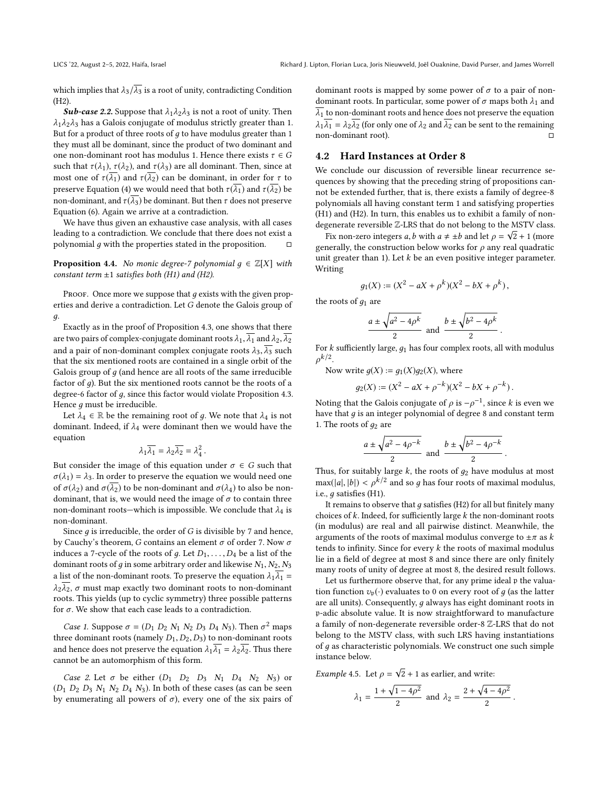which implies that  $\lambda_3/\overline{\lambda_3}$  is a root of unity, contradicting Condition (H2).

**Sub-case 2.2.** Suppose that  $\lambda_1 \lambda_2 \lambda_3$  is not a root of unity. Then  $\lambda_1 \lambda_2 \lambda_3$  has a Galois conjugate of modulus strictly greater than 1. But for a product of three roots of  $q$  to have modulus greater than 1 they must all be dominant, since the product of two dominant and one non-dominant root has modulus 1. Hence there exists  $\tau \in G$ such that  $\tau(\lambda_1)$ ,  $\tau(\lambda_2)$ , and  $\tau(\lambda_3)$  are all dominant. Then, since at most one of  $\tau(\overline{\lambda_1})$  and  $\tau(\overline{\lambda_2})$  can be dominant, in order for  $\tau$  to preserve Equation [\(4\)](#page-4-7) we would need that both  $\tau(\overline{\lambda_1})$  and  $\tau(\overline{\lambda_2})$  be non-dominant, and  $\tau(\overline{\lambda_3})$  be dominant. But then  $\tau$  does not preserve Equation [\(6\)](#page-4-9). Again we arrive at a contradiction.

We have thus given an exhaustive case analysis, with all cases leading to a contradiction. We conclude that there does not exist a polynomial  $q$  with the properties stated in the proposition.  $\Box$ 

<span id="page-5-1"></span>**Proposition 4.4.** No monic degree-7 polynomial  $q \in \mathbb{Z}[X]$  with constant term  $\pm 1$  satisfies both (H1) and (H2).

PROOF. Once more we suppose that  $q$  exists with the given properties and derive a contradiction. Let G denote the Galois group of д.

Exactly as in the proof of Proposition [4.3,](#page-4-3) one shows that there are two pairs of complex-conjugate dominant roots  $\lambda_1, \overline{\lambda_1}$  and  $\lambda_2, \overline{\lambda_2}$ and a pair of non-dominant complex conjugate roots  $\lambda_3, \overline{\lambda_3}$  such that the six mentioned roots are contained in a single orbit of the Galois group of  $q$  (and hence are all roots of the same irreducible factor of  $q$ ). But the six mentioned roots cannot be the roots of a degree-6 factor of g, since this factor would violate Proposition [4.3.](#page-4-3) Hence  $g$  must be irreducible.

Let  $\lambda_4 \in \mathbb{R}$  be the remaining root of q. We note that  $\lambda_4$  is not dominant. Indeed, if  $\lambda_4$  were dominant then we would have the equation

$$
\lambda_1 \overline{\lambda_1} = \lambda_2 \overline{\lambda_2} = \lambda_4^2
$$

 $\lambda_1 \lambda_1 = \lambda_2 \lambda_2 = \lambda_4^2$ .<br>But consider the image of this equation under  $\sigma \in G$  such that  $\sigma(\lambda_1) = \lambda_2$ . In order to preserve the equation we would need one  $\sigma(\lambda_1) = \lambda_3$ . In order to preserve the equation we would need one of  $\sigma(\lambda_2)$  and  $\sigma(\overline{\lambda_2})$  to be non-dominant and  $\sigma(\lambda_4)$  to also be nondominant, that is, we would need the image of  $\sigma$  to contain three non-dominant roots—which is impossible. We conclude that  $\lambda_4$  is non-dominant.

Since  $q$  is irreducible, the order of  $G$  is divisible by 7 and hence, by Cauchy's theorem, G contains an element  $\sigma$  of order 7. Now  $\sigma$ induces a 7-cycle of the roots of g. Let  $D_1, \ldots, D_4$  be a list of the dominant roots of  $g$  in some arbitrary order and likewise  $N_1, N_2, N_3$ a list of the non-dominant roots. To preserve the equation  $\lambda_1 \overline{\lambda_1} =$  $\lambda_2 \overline{\lambda_2}$ ,  $\sigma$  must map exactly two dominant roots to non-dominant roots. This yields (up to cyclic symmetry) three possible patterns for  $\sigma$ . We show that each case leads to a contradiction.

Case 1. Suppose  $\sigma = (D_1 D_2 N_1 N_2 D_3 D_4 N_3)$ . Then  $\sigma^2$  maps three dominant roots (namely  $D_1, D_2, D_3$ ) to non-dominant roots and hence does not preserve the equation  $\lambda_1 \overline{\lambda_1} = \lambda_2 \overline{\lambda_2}$ . Thus there cannot be an automorphism of this form.

Case 2. Let  $\sigma$  be either  $(D_1 \quad D_2 \quad D_3 \quad N_1 \quad D_4 \quad N_2 \quad N_3)$  or  $(D_1 D_2 D_3 N_1 N_2 D_4 N_3)$ . In both of these cases (as can be seen by enumerating all powers of  $\sigma$ ), every one of the six pairs of dominant roots is mapped by some power of  $\sigma$  to a pair of nondominant roots. In particular, some power of  $\sigma$  maps both  $\lambda_1$  and  $\overline{\lambda_1}$  to non-dominant roots and hence does not preserve the equation  $\lambda_1 \overline{\lambda_1} = \lambda_2 \overline{\lambda_2}$  (for only one of  $\lambda_2$  and  $\overline{\lambda_2}$  can be sent to the remaining non-dominant root).

#### <span id="page-5-0"></span>4.2 Hard Instances at Order 8

We conclude our discussion of reversible linear recurrence sequences by showing that the preceding string of propositions cannot be extended further, that is, there exists a family of degree-8 polynomials all having constant term 1 and satisfying properties (H1) and (H2). In turn, this enables us to exhibit a family of nondegenerate reversible Z-LRS that do not belong to the MSTV class. √

Fix non-zero integers a, b with  $a \neq \pm b$  and let  $\rho = \sqrt{2} + 1$  (more narally the construction below works for a any real quadration generally, the construction below works for  $\rho$  any real quadratic unit greater than 1). Let  $k$  be an even positive integer parameter. Writing

$$
g_1(X) := (X^2 - aX + \rho^k)(X^2 - bX + \rho^k),
$$

the roots of  $q_1$  are

$$
\frac{a \pm \sqrt{a^2 - 4\rho^k}}{2}
$$
 and 
$$
\frac{b \pm \sqrt{b^2 - 4\rho^k}}{2}
$$
.

For  $k$  sufficiently large,  $q_1$  has four complex roots, all with modulus ρ  $\frac{k}{2}$ .

Now write  $g(X) := g_1(X)g_2(X)$ , where

$$
g_2(X) := (X^2 - aX + \rho^{-k})(X^2 - bX + \rho^{-k}).
$$

Noting that the Galois conjugate of  $\rho$  is  $-\rho^{-1}$ , since k is even we have that *a* is an integer polynomial of degree 8 and constant term have that  $g$  is an integer polynomial of degree 8 and constant term 1. The roots of  $q_2$  are

$$
\frac{a \pm \sqrt{a^2 - 4\rho^{-k}}}{2} \text{ and } \frac{b \pm \sqrt{b^2 - 4\rho^{-k}}}{2}
$$

Thus, for suitably large  $k$ , the roots of  $g_2$  have modulus at most  $\max(|a|, |b|) < \rho^{k/2}$  and so g has four roots of maximal modulus, i.e., д satisfies (H1).

It remains to observe that  $q$  satisfies (H2) for all but finitely many choices of  $k$ . Indeed, for sufficiently large  $k$  the non-dominant roots (in modulus) are real and all pairwise distinct. Meanwhile, the arguments of the roots of maximal modulus converge to  $\pm \pi$  as k tends to infinity. Since for every  $k$  the roots of maximal modulus lie in a field of degree at most 8 and since there are only finitely many roots of unity of degree at most 8, the desired result follows.

Let us furthermore observe that, for any prime ideal  $\mathfrak p$  the valuation function  $v_p(\cdot)$  evaluates to 0 on every root of q (as the latter are all units). Consequently, д always has eight dominant roots in p-adic absolute value. It is now straightforward to manufacture a family of non-degenerate reversible order-8 Z-LRS that do not belong to the MSTV class, with such LRS having instantiations of  $q$  as characteristic polynomials. We construct one such simple instance below.

*Example* 4.5. Let  $\rho = \sqrt{2} + 1$  as earlier, and write:

$$
\lambda_1 = \frac{1 + \sqrt{1 - 4\rho^2}}{2}
$$
 and  $\lambda_2 = \frac{2 + \sqrt{4 - 4\rho^2}}{2}$ .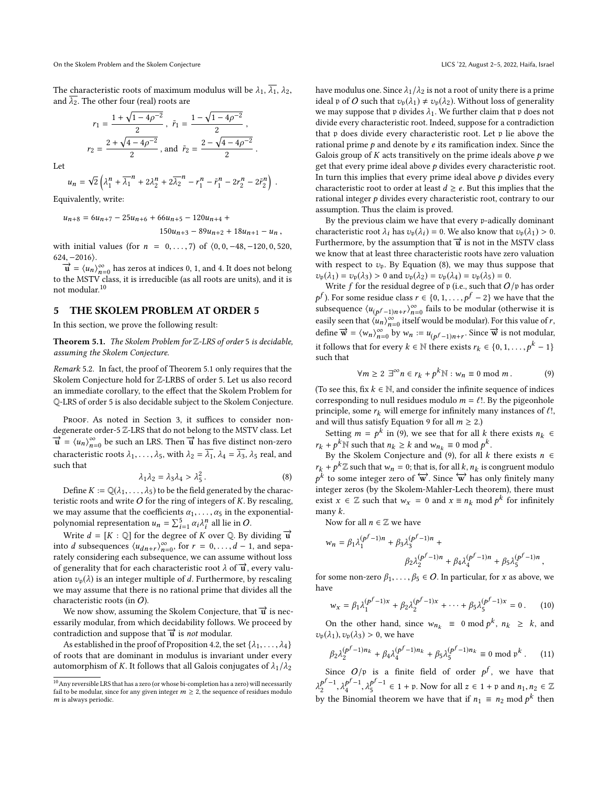The characteristic roots of maximum modulus will be  $\lambda_1$ ,  $\overline{\lambda_1}$ ,  $\lambda_2$ , and  $\lambda_2$ . The other four (real) roots are

$$
r_1 = \frac{1 + \sqrt{1 - 4\rho^{-2}}}{2}, \quad \tilde{r}_1 = \frac{1 - \sqrt{1 - 4\rho^{-2}}}{2},
$$

$$
r_2 = \frac{2 + \sqrt{4 - 4\rho^{-2}}}{2}, \text{ and } \tilde{r}_2 = \frac{2 - \sqrt{4 - 4\rho^{-2}}}{2}.
$$

Let

$$
u_n = \sqrt{2}\left(\lambda_1^n + \overline{\lambda_1}^n + 2\lambda_2^n + 2\overline{\lambda_2}^n - r_1^n - \tilde{r}_1^n - 2r_2^n - 2\tilde{r}_2^n\right).
$$

Equivalently, write:

$$
u_{n+8} = 6u_{n+7} - 25u_{n+6} + 66u_{n+5} - 120u_{n+4} + 150u_{n+3} - 89u_{n+2} + 18u_{n+1} - u_n,
$$

with initial values (for  $n = 0, ..., 7$ ) of  $(0, 0, -48, -120, 0, 520,$ <sup>624</sup>, <sup>−</sup>2016⟩.

 $\overrightarrow{u} = \langle u_n \rangle_{n=0}^{\infty}$  has zeros at indices 0, 1, and 4. It does not belong<br>the MSTV class, it is irreducible (as all roots are units), and it is to the MSTV class, it is irreducible (as all roots are units), and it is not modular.[10](#page-6-2)

# <span id="page-6-1"></span>5 THE SKOLEM PROBLEM AT ORDER 5

In this section, we prove the following result:

<span id="page-6-0"></span>Theorem 5.1. The Skolem Problem for Z-LRS of order 5 is decidable, assuming the Skolem Conjecture.

Remark 5.2. In fact, the proof of Theorem [5.1](#page-6-0) only requires that the Skolem Conjecture hold for Z-LRBS of order 5. Let us also record an immediate corollary, to the effect that the Skolem Problem for Q-LRS of order 5 is also decidable subject to the Skolem Conjecture.

PROOF. As noted in Section [3,](#page-2-4) it suffices to consider nondegenerate order-5 Z-LRS that do not belong to the MSTV class. Let  $\vec{u} = \langle u_n \rangle_{n=0}^{\infty}$  be such an LRS. Then  $\vec{u}$  has five distinct non-zero<br>characteristic roots  $\lambda_1$  with  $\lambda_2 = \overline{\lambda_1}$ ,  $\lambda_3 = \overline{\lambda_2}$ ,  $\lambda_4$  root and characteristic roots  $\lambda_1, \ldots, \lambda_5$ , with  $\lambda_2 = \overline{\lambda_1}$ ,  $\lambda_4 = \overline{\lambda_3}$ ,  $\lambda_5$  real, and such that

<span id="page-6-3"></span>
$$
\lambda_1 \lambda_2 = \lambda_3 \lambda_4 > \lambda_5^2.
$$
 (8)

Define  $K := \mathbb{Q}(\lambda_1, \dots, \lambda_5)$  to be the field generated by the charac-<br>istic roots and write O for the ring of integers of K. By rescaling teristic roots and write  $O$  for the ring of integers of  $K$ . By rescaling, we may assume that the coefficients  $\alpha_1, \ldots, \alpha_5$  in the exponentialpolynomial representation  $u_n = \sum_{i=1}^5 \alpha_i \lambda_i^n$  all lie in O.<br>Write  $d = [K : \bigcap$  for the degree of K over  $\bigcap$ . By

Write  $d = [K : \mathbb{Q}]$  for the degree of K over  $\mathbb{Q}$ . By dividing  $\vec{u}$ into d subsequences  $\langle u_{dn+r} \rangle_{n=0}^{\infty}$ , for  $r = 0, \ldots, d-1$ , and separately considering each subsequence, we can assume without loss rately considering each subsequence, we can assume without loss of generality that for each characteristic root  $\lambda$  of  $\vec{u}$ , every valuation  $v_p(\lambda)$  is an integer multiple of d. Furthermore, by rescaling we may assume that there is no rational prime that divides all the characteristic roots (in O).

We now show, assuming the Skolem Conjecture, that  $\vec{u}$  is necessarily modular, from which decidability follows. We proceed by contradiction and suppose that  $\vec{u}$  is *not* modular.

As established in the proof of Proposition [4.2,](#page-4-2) the set  $\{\lambda_1, \ldots, \lambda_4\}$ of roots that are dominant in modulus is invariant under every automorphism of K. It follows that all Galois conjugates of  $\lambda_1/\lambda_2$  have modulus one. Since  $\lambda_1/\lambda_2$  is not a root of unity there is a prime ideal p of O such that  $v_p(\lambda_1) \neq v_p(\lambda_2)$ . Without loss of generality we may suppose that p divides  $\lambda_1$ . We further claim that p does not divide every characteristic root. Indeed, suppose for a contradiction that p does divide every characteristic root. Let p lie above the rational prime  $p$  and denote by  $e$  its ramification index. Since the Galois group of  $K$  acts transitively on the prime ideals above  $p$  we get that every prime ideal above  $p$  divides every characteristic root. In turn this implies that every prime ideal above  $p$  divides every characteristic root to order at least  $d \geq e$ . But this implies that the rational integer p divides every characteristic root, contrary to our assumption. Thus the claim is proved.

By the previous claim we have that every p-adically dominant characteristic root  $\lambda_i$  has  $v_p(\lambda_i) = 0$ . We also know that  $v_p(\lambda_1) > 0$ . Furthermore, by the assumption that  $\vec{u}$  is not in the MSTV class we know that at least three characteristic roots have zero valuation with respect to  $v_p$ . By Equation [\(8\)](#page-6-3), we may thus suppose that  $v_{\mathfrak{p}}(\lambda_1) = v_{\mathfrak{p}}(\lambda_3) > 0$  and  $v_{\mathfrak{p}}(\lambda_2) = v_{\mathfrak{p}}(\lambda_4) = v_{\mathfrak{p}}(\lambda_5) = 0$ .

Write f for the residual degree of  $\mathfrak p$  (i.e., such that  $O/\mathfrak p$  has order subsequence  $\langle u_{(p^f-1)n+r} \rangle_{n=0}^{\infty}$  fails to be modular (otherwise it is easily seen that  $\langle u_{\alpha} \rangle_{\infty}^{\infty}$  itself would be modular). For this value of r f). For some residue class  $r \in \{0, 1, ..., p^f - 2\}$  we have that the unknowned  $\{u \in \mathbb{R}^m : f \text{ is to be modular (otherwise it is})\}$ easily seen that  $\langle u_n \rangle_{n=0}^{\infty}$  itself would be modular). For this value of r,<br>define  $\vec{w} = \langle w \rangle^{\infty}$  by  $w = u_{\text{tot}}$  since  $\vec{w}$  is not modular define  $\vec{w} = \langle w_n \rangle_{n=0}^{\infty}$  by  $w_n := u_{(p^f-1)n+r}$ . Since  $\vec{w}$  is not modular, it follows that for every  $k \in \mathbb{N}$  there exists  $r_k \in \{0, 1, \ldots, p^k - 1\}$ such that

<span id="page-6-4"></span>
$$
\forall m \ge 2 \; \exists^{\infty} n \in r_k + p^k \mathbb{N} : w_n \equiv 0 \bmod m. \tag{9}
$$

(To see this, fix  $k \in \mathbb{N}$ , and consider the infinite sequence of indices corresponding to null residues modulo  $m = \ell!$ . By the pigeonhole principle, some  $r_k$  will emerge for infinitely many instances of  $\ell!$ , and will thus satisfy Equation [9](#page-6-4) for all  $m \ge 2$ .)

Setting  $m = p^k$  in [\(9\)](#page-6-4), we see that for all k there exists  $n_k \in$  $r_k + p^k$ N such that  $n_k \ge k$  and  $w_{n_k} \equiv 0 \mod p^k$ .<br>By the Skolem Conjecture and (0) for all k

By the Skolem Conjecture and [\(9\)](#page-6-4), for all  $k$  there exists  $n \in$  $r_k + p^k \mathbb{Z}$  such that  $w_n = 0$ ; that is, for all k,  $n_k$  is congruent modulo  $p^k$  to some integer zero of  $\overleftrightarrow{w}$ , since  $\overleftrightarrow{w}$  has only finitely mony p integer zeros (by the Skolem-Mahler-Lech theorem), there must k to some integer zero of  $\overleftrightarrow{w}$ . Since  $\overleftrightarrow{w}$  has only finitely many exist  $x \in \mathbb{Z}$  such that  $w_x = 0$  and  $x \equiv n_k \mod p^k$  for infinitely many k many k.

Now for all  $n \in \mathbb{Z}$  we have

$$
\begin{split} w_n = \beta_1 \lambda_1^{(p^f-1)n} + \beta_3 \lambda_3^{(p^f-1)n} + \\ \beta_2 \lambda_2^{(p^f-1)n} + \beta_4 \lambda_4^{(p^f-1)n} + \beta_5 \lambda_5^{(p^f-1)n} \,, \end{split}
$$

for some non-zero  $\beta_1, \ldots, \beta_5 \in O$ . In particular, for x as above, we have

<span id="page-6-6"></span>
$$
w_x = \beta_1 \lambda_1^{(p^f - 1)x} + \beta_2 \lambda_2^{(p^f - 1)x} + \dots + \beta_5 \lambda_5^{(p^f - 1)x} = 0.
$$
 (10)

On the other hand, since  $w_{n_k} \equiv 0 \mod p^k$ ,  $n_k \ge k$ , and  $\lambda_{k+1} \ge k \le 0$ , we have  $v_p(\lambda_1), v_p(\lambda_3) > 0$ , we have

<span id="page-6-5"></span>
$$
\beta_2 \lambda_2^{(p^f - 1)n_k} + \beta_4 \lambda_4^{(p^f - 1)n_k} + \beta_5 \lambda_5^{(p^f - 1)n_k} \equiv 0 \bmod \mathfrak{p}^k. \tag{11}
$$

Since  $O/p$  is a finite field of order  $p^f$ , we have that  $f_{-1}$ ,  $p^f_{-1}$ ,  $p^f_{-1}$ l<br>E  $\lambda_2^{p^f-1}, \lambda_4^{p^f-1}, \lambda_5^{p^f-1} \in 1 + \mathfrak{p}$ . Now for all  $z \in 1 + \mathfrak{p}$  and  $n_1, n_2 \in \mathbb{Z}$ by the Binomial theorem we have that if  $n_1 \equiv n_2 \mod p^k$  then

<span id="page-6-2"></span> $^{10}\!$  Any reversible LRS that has a zero (or whose bi-completion has a zero) will necessarily fail to be modular, since for any given integer  $m \ge 2$ , the sequence of residues modulo  $m$  is always periodic.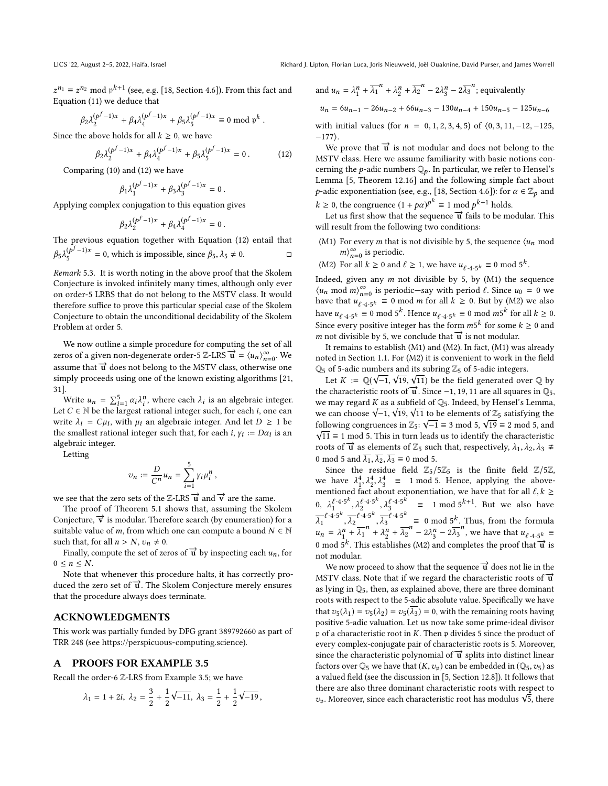z Equation [\(11\)](#page-6-5) we deduce that  $n_1 \equiv z^{n_2} \mod p^{k+1}$  (see, e.g. [\[18,](#page-8-31) Section 4.6]). From this fact and countion (11) we deduce that

$$
\beta_2 \lambda_2^{(p^f - 1)x} + \beta_4 \lambda_4^{(p^f - 1)x} + \beta_5 \lambda_5^{(p^f - 1)x} \equiv 0 \mod \mathfrak{p}^k
$$

Since the above holds for all  $k \geq 0$ , we have

$$
\beta_2 \lambda_2^{(p^f - 1)x} + \beta_4 \lambda_4^{(p^f - 1)x} + \beta_5 \lambda_5^{(p^f - 1)x} = 0.
$$
 (12)

Comparing [\(10\)](#page-6-6) and [\(12\)](#page-7-1) we have

$$
\beta_1 \lambda_1^{(p^f-1)x} + \beta_3 \lambda_3^{(p^f-1)x} = 0.
$$

Applying complex conjugation to this equation gives

$$
\beta_2 \lambda_2^{(p^f-1)x} + \beta_4 \lambda_4^{(p^f-1)x} = 0.
$$

The previous equation together with Equation [\(12\)](#page-7-1) entail that  $\beta_5 \lambda_5^{(p^f-1)x} = 0$ , which is impossible, since  $\beta_5, \lambda_5 \neq 0$ .

Remark 5.3. It is worth noting in the above proof that the Skolem Conjecture is invoked infinitely many times, although only ever on order-5 LRBS that do not belong to the MSTV class. It would therefore suffice to prove this particular special case of the Skolem Conjecture to obtain the unconditional decidability of the Skolem Problem at order 5.

We now outline a simple procedure for computing the set of all zeros of a given non-degenerate order-5 Z-LRS  $\vec{u} = \langle u_n \rangle_{n=0}^{\infty}$ . We<br>see that  $\vec{v}$  and  $\vec{v}$  are  $\vec{v}$  and  $\vec{v}$  and  $\vec{v}$  are  $\vec{v}$  and  $\vec{v}$  and  $\vec{v}$  are  $\vec{v}$  and  $\vec{v}$  and  $\vec{v}$  are  $\vec{v$ zeros or a given non-degenerate order-5 ∠-LKS  $\mathbf{u} = \langle u_n \rangle_{n=0}^{\infty}$ . We assume that  $\overrightarrow{\mathbf{u}}$  does not belong to the MSTV class, otherwise one simply proceeds using one of the known existing algorithms [\[21,](#page-8-6) [31\]](#page-8-7).

Write  $u_n = \sum_{i=1}^5 \alpha_i \lambda_i^n$ , where each  $\lambda_i$  is an algebraic integer.<br>i C  $\in \mathbb{N}$  be the largest rational integer such for each *i*, one can Let C ∈ N be the largest rational integer such, for each i, one can<br>write  $\lambda_1 = Cu$ , with  $u_2$  on algebraic integer such for each i, one can write  $\lambda_i = C\mu_i$ , with  $\mu_i$  an algebraic integer. And let  $D \ge 1$  be the smallest rational integer such that for each  $i, \nu_i \rightarrow D\alpha_i$  is an the smallest rational integer such that, for each  $i, \gamma_i := D\alpha_i$  is an algebraic integer algebraic integer.

Letting

$$
v_n := \frac{D}{C^n} u_n = \sum_{i=1}^5 \gamma_i \mu_i^n,
$$

we see that the zero sets of the Z-LRS  $\vec{u}$  and  $\vec{v}$  are the same.

The proof of Theorem [5.1](#page-6-0) shows that, assuming the Skolem Conjecture,  $\vec{v}$  is modular. Therefore search (by enumeration) for a suitable value of m, from which one can compute a bound  $N \in \mathbb{N}$ such that, for all  $n > N$ ,  $v_n \neq 0$ .

Finally, compute the set of zeros of  $\overrightarrow{u}$  by inspecting each  $u_n$ , for  $0 \leq n \leq N$ .

Note that whenever this procedure halts, it has correctly produced the zero set of  $\vec{u}$ . The Skolem Conjecture merely ensures that the procedure always does terminate.

## ACKNOWLEDGMENTS

This work was partially funded by DFG grant 389792660 as part of TRR 248 (see [https://perspicuous-computing.science\)](https://perspicuous-computing.science).

#### <span id="page-7-0"></span>A PROOFS FOR EXAMPLE [3.5](#page-3-0)

Recall the order-6 Z-LRS from Example [3.5;](#page-3-0) we have

$$
\lambda_1 = 1 + 2i, \ \lambda_2 = \frac{3}{2} + \frac{1}{2}\sqrt{-11}, \ \lambda_3 = \frac{1}{2} + \frac{1}{2}\sqrt{-19},
$$

and  $u_n = \lambda_1^n + \overline{\lambda_1}^n + \lambda_2^n + \overline{\lambda_2}^n - 2\lambda_3^n - 2\overline{\lambda_3}^n$ ; equivalently

 $u_n = 6u_{n-1} - 26u_{n-2} + 66u_{n-3} - 130u_{n-4} + 150u_{n-5} - 125u_{n-6}$ 

with initial values (for  $n = 0, 1, 2, 3, 4, 5$ ) of  $(0, 3, 11, -12, -125,$  $-177$ ).

<span id="page-7-1"></span>We prove that  $\vec{u}$  is not modular and does not belong to the MSTV class. Here we assume familiarity with basic notions concerning the *p*-adic numbers  $\mathbb{Q}_p$ . In particular, we refer to Hensel's Lemma [\[5,](#page-8-29) Theorem 12.16] and the following simple fact about *p*-adic exponentiation (see, e.g., [\[18,](#page-8-31) Section 4.6]): for  $\alpha \in \mathbb{Z}_p$  and  $k \ge 0$ , the congruence  $(1 + p\alpha)^{p^k} \equiv 1 \mod p^{k+1}$  holds.<br>Let us first show that the sequence  $\vec{x}$  fails to be mo

Let us first show that the sequence  $\vec{u}$  fails to be modular. This will result from the following two conditions:

- (M1) For every *m* that is not divisible by 5, the sequence  $\langle u_n \bmod$  $m\rangle_{n=0}^{\infty}$  is periodic.<br>For all  $k > 0$  and
- (M2) For all  $k \ge 0$  and  $\ell \ge 1$ , we have  $u_{\ell, 4.5^k} \equiv 0 \mod 5^k$ .

Indeed, given any  $m$  not divisible by 5, by (M1) the sequence  $\langle u_n \bmod m \rangle_{n=0}^{\infty}$  is periodic—say with period  $\ell$ . Since  $u_0 = 0$  we also (*u<sub>n</sub>* mod *m*)<sub>*n*=0</sub> is periodic—say with period *t*. Since *u*<sub>0</sub> = 0 we<br>have that  $u_{\ell-4.5}$   $\in$  0 mod *m* for all  $k \ge 0$ . But by (M2) we also<br>have  $u_{\ell-4.5}$  = 0 mod 5<sup>k</sup>. Hence  $u_{\ell-1}$  = 0 mod m5<sup>k</sup> for all have  $u_{\ell,4.5^k} \equiv 0 \mod 5^k$ . Hence  $u_{\ell,4.5^k} \equiv 0 \mod m5^k$  for all  $k \ge 0$ .<br>Since overy positive integer has the form  $m5^k$  for some  $k > 0$  and Since every positive integer has the form  $m5^k$  for some  $k \ge 0$  and  $m$  not divisible by 5, we conclude that  $\vec{x}$  is not modular. m not divisible by 5, we conclude that  $\vec{u}$  is not modular.

It remains to establish (M1) and (M2). In fact, (M1) was already noted in Section [1.1.](#page-0-2) For (M2) it is convenient to work in the field  $\mathbb{Q}_5$  of 5-adic numbers and its subring  $\mathbb{Z}_5$  of 5-adic integers.

Let  $K := \mathbb{Q}(\sqrt{-1}, \sqrt{19}, \sqrt{11})$  be the field generated over  $\mathbb{Q}$  by the property content of  $\vec{x}$ . Since  $-1$  19, 11 are all squares in  $\mathbb{Q}_2$ . the characteristic roots of  $\overrightarrow{u}$ . Since −1, 19, 11 are all squares in  $\mathbb{Q}_5$ , we may regard K as a subfield of  $\mathbb{Q}_5$ . Indeed, by Hensel's Lemma,<br>we can choose  $\sqrt{1.3/19}$ ,  $\sqrt{11}$  to be claments of  $\mathbb{Z}_7$  setisfying the we may regard K as a subfield of  $\sqrt{5}$ . Indeed, by Hensel s Lemma.<br>we can choose  $\sqrt{-1}$ ,  $\sqrt{19}$ ,  $\sqrt{11}$  to be elements of  $\mathbb{Z}_5$  satisfying the<br>following congruences in  $\mathbb{Z}_1$ ,  $\sqrt{11}$  = 3 mod 5,  $\sqrt{10}$  = following congruences in  $\mathbb{Z}_5$ :  $\sqrt{-1} \equiv 3 \mod 5$ ,  $\sqrt{19} \equiv 2 \mod 5$ , and  $\sqrt{11} \equiv 1 \mod 5$ . This in turn leads us to identify the characteristic roots of  $\vec{u}$  as elements of  $\mathbb{Z}_5$  such that, respectively,  $\lambda_1, \lambda_2, \lambda_3$  ≢ 0 mod 5 and  $\overline{\lambda_1}$ ,  $\overline{\lambda_2}$ ,  $\overline{\lambda_3} \equiv 0$  mod 5.

Since the residue field  $\mathbb{Z}_5/5\mathbb{Z}_5$  is the finite field  $\mathbb{Z}/5\mathbb{Z}$ , we have  $\lambda_1^4, \lambda_2^4, \lambda_3^4 \equiv 1 \text{ mod } 5$ . Hence, applying the above-<br>mentioned fact about exponentiation we have that for all  $\ell \ge 3$  $\frac{2}{\lambda}$ mentioned fact about exponentiation, we have that for all  $\ell, k \geq$ 0,  $\lambda_1^{\ell_1}4.5^k$ ,  $\lambda_2^{\ell_1}4.5^k$ ,  $\lambda_3^{\ell_1}4.5^k \equiv 1 \mod 5^{k+1}$ . But we also have  $\frac{\overline{h_1}^{e_4} \cdot 5^k}{\lambda_1^{e_4} \cdot \overline{h_2}}$ ,  $\frac{\overline{h_3}^{e_4} \cdot 5^k}{\lambda_3^{e_4} \cdot \overline{h_3}^{e_5}}$  = 0 mod  $5^k$ . Thus, from the formula  $u_n = \lambda_1^n + \overline{\lambda_1}^n + \lambda_2^n + \overline{\lambda_2}^n - 2\lambda_3^n - 2\overline{\lambda_3}^n$ , we have that  $u_{\ell,4.5^k} \equiv 0$  med 5<sup>k</sup>. This establishes (M2) and completes the proof that  $\vec{x}$  is 0 mod  $5^k$ . This establishes (M2) and completes the proof that  $\overrightarrow{u}$  is not modular.

We now proceed to show that the sequence  $\vec{u}$  does not lie in the MSTV class. Note that if we regard the characteristic roots of  $\vec{u}$ as lying in  $\mathbb{Q}_5$ , then, as explained above, there are three dominant roots with respect to the 5-adic absolute value. Specifically we have that  $v_5(\lambda_1) = v_5(\lambda_2) = v_5(\overline{\lambda_3}) = 0$ , with the remaining roots having positive 5-adic valuation. Let us now take some prime-ideal divisor  $p$  of a characteristic root in K. Then  $p$  divides 5 since the product of every complex-conjugate pair of characteristic roots is 5. Moreover, since the characteristic polynomial of  $\vec{u}$  splits into distinct linear factors over  $\mathbb{Q}_5$  we have that  $(K, v_p)$  can be embedded in  $(\mathbb{Q}_5, v_5)$  as a valued field (see the discussion in [\[5,](#page-8-29) Section 12.8]). It follows that there are also three dominant characteristic roots with respect to there are also three dominant characteristic roots with respect to  $v_p$ . Moreover, since each characteristic root has modulus  $\sqrt{5}$ , there